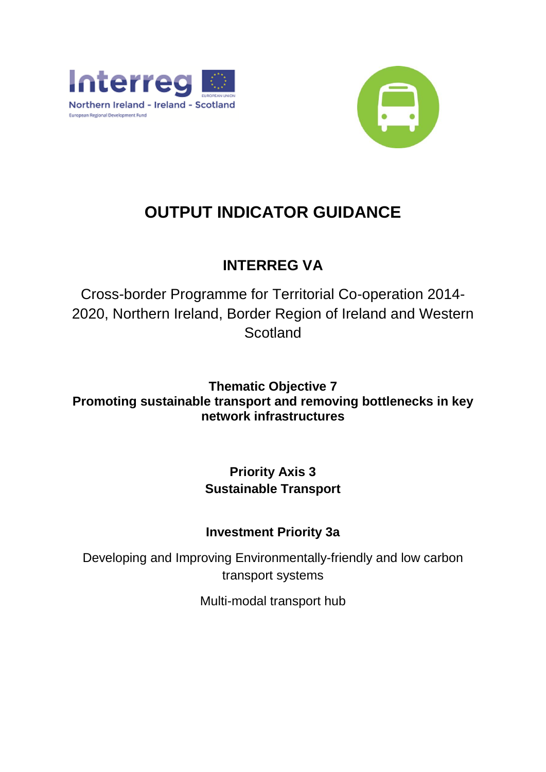



# **OUTPUT INDICATOR GUIDANCE**

# **INTERREG VA**

Cross-border Programme for Territorial Co-operation 2014- 2020, Northern Ireland, Border Region of Ireland and Western **Scotland** 

**Thematic Objective 7 Promoting sustainable transport and removing bottlenecks in key network infrastructures**

# **Priority Axis 3 Sustainable Transport**

# **Investment Priority 3a**

Developing and Improving Environmentally-friendly and low carbon transport systems

Multi-modal transport hub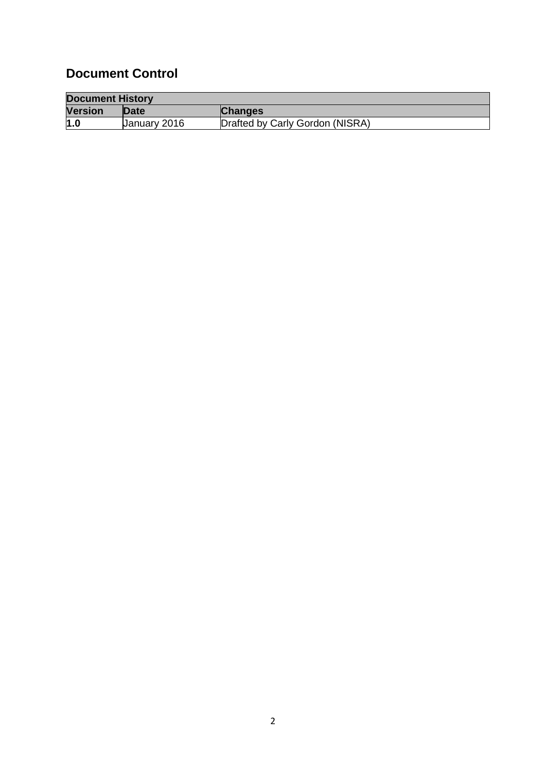# **Document Control**

| <b>Document History</b> |              |                                 |  |
|-------------------------|--------------|---------------------------------|--|
| <b>Version</b>          | Date         | <b>Changes</b>                  |  |
| 1.0                     | January 2016 | Drafted by Carly Gordon (NISRA) |  |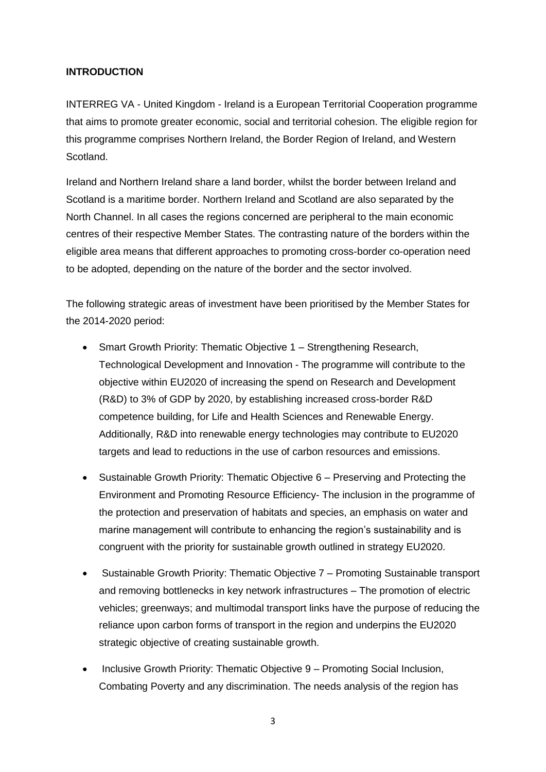#### **INTRODUCTION**

INTERREG VA - United Kingdom - Ireland is a European Territorial Cooperation programme that aims to promote greater economic, social and territorial cohesion. The eligible region for this programme comprises Northern Ireland, the Border Region of Ireland, and Western Scotland.

Ireland and Northern Ireland share a land border, whilst the border between Ireland and Scotland is a maritime border. Northern Ireland and Scotland are also separated by the North Channel. In all cases the regions concerned are peripheral to the main economic centres of their respective Member States. The contrasting nature of the borders within the eligible area means that different approaches to promoting cross-border co-operation need to be adopted, depending on the nature of the border and the sector involved.

The following strategic areas of investment have been prioritised by the Member States for the 2014-2020 period:

- Smart Growth Priority: Thematic Objective 1 Strengthening Research, Technological Development and Innovation - The programme will contribute to the objective within EU2020 of increasing the spend on Research and Development (R&D) to 3% of GDP by 2020, by establishing increased cross-border R&D competence building, for Life and Health Sciences and Renewable Energy. Additionally, R&D into renewable energy technologies may contribute to EU2020 targets and lead to reductions in the use of carbon resources and emissions.
- Sustainable Growth Priority: Thematic Objective 6 Preserving and Protecting the Environment and Promoting Resource Efficiency- The inclusion in the programme of the protection and preservation of habitats and species, an emphasis on water and marine management will contribute to enhancing the region's sustainability and is congruent with the priority for sustainable growth outlined in strategy EU2020.
- Sustainable Growth Priority: Thematic Objective 7 Promoting Sustainable transport and removing bottlenecks in key network infrastructures – The promotion of electric vehicles; greenways; and multimodal transport links have the purpose of reducing the reliance upon carbon forms of transport in the region and underpins the EU2020 strategic objective of creating sustainable growth.
- Inclusive Growth Priority: Thematic Objective 9 Promoting Social Inclusion, Combating Poverty and any discrimination. The needs analysis of the region has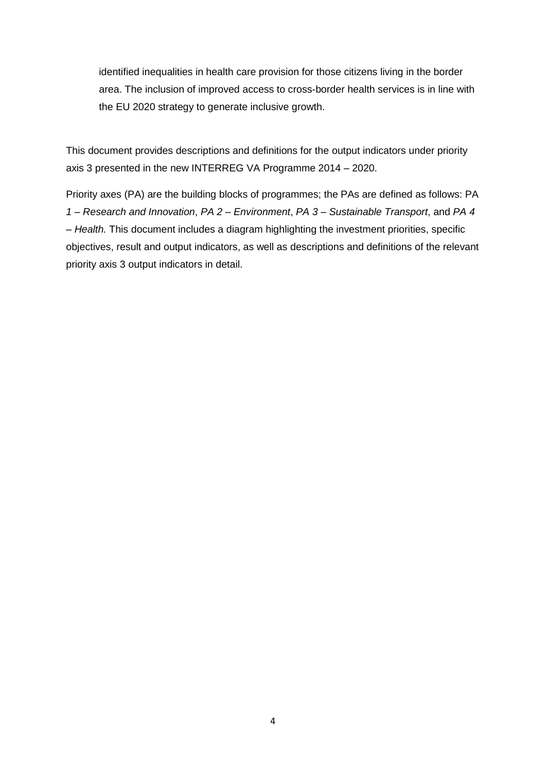identified inequalities in health care provision for those citizens living in the border area. The inclusion of improved access to cross-border health services is in line with the EU 2020 strategy to generate inclusive growth.

This document provides descriptions and definitions for the output indicators under priority axis 3 presented in the new INTERREG VA Programme 2014 – 2020.

Priority axes (PA) are the building blocks of programmes; the PAs are defined as follows: PA *1 – Research and Innovation*, *PA 2 – Environment*, *PA 3 – Sustainable Transport*, and *PA 4 – Health.* This document includes a diagram highlighting the investment priorities, specific objectives, result and output indicators, as well as descriptions and definitions of the relevant priority axis 3 output indicators in detail.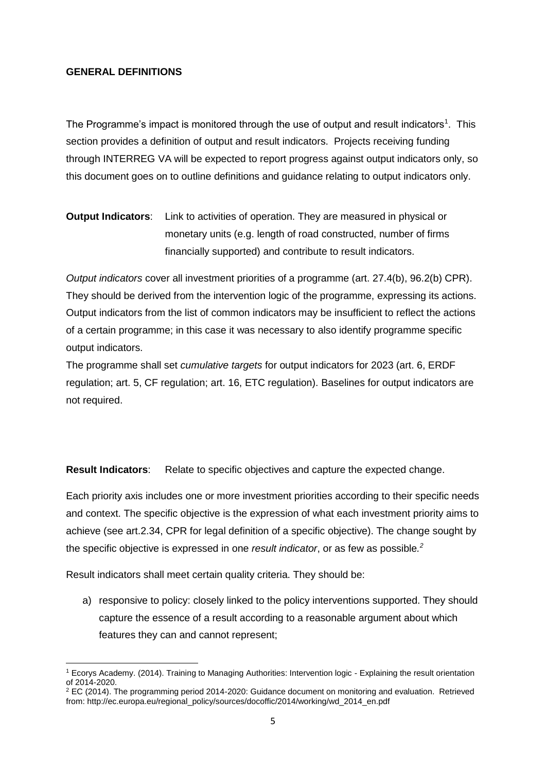#### **GENERAL DEFINITIONS**

The Programme's impact is monitored through the use of output and result indicators<sup>1</sup>. This section provides a definition of output and result indicators. Projects receiving funding through INTERREG VA will be expected to report progress against output indicators only, so this document goes on to outline definitions and guidance relating to output indicators only.

### **Output Indicators**: Link to activities of operation. They are measured in physical or monetary units (e.g. length of road constructed, number of firms financially supported) and contribute to result indicators.

*Output indicators* cover all investment priorities of a programme (art. 27.4(b), 96.2(b) CPR). They should be derived from the intervention logic of the programme, expressing its actions. Output indicators from the list of common indicators may be insufficient to reflect the actions of a certain programme; in this case it was necessary to also identify programme specific output indicators.

The programme shall set *cumulative targets* for output indicators for 2023 (art. 6, ERDF regulation; art. 5, CF regulation; art. 16, ETC regulation). Baselines for output indicators are not required.

**Result Indicators**: Relate to specific objectives and capture the expected change.

Each priority axis includes one or more investment priorities according to their specific needs and context. The specific objective is the expression of what each investment priority aims to achieve (see art.2.34, CPR for legal definition of a specific objective). The change sought by the specific objective is expressed in one *result indicator*, or as few as possible*. 2*

Result indicators shall meet certain quality criteria. They should be:

a) responsive to policy: closely linked to the policy interventions supported. They should capture the essence of a result according to a reasonable argument about which features they can and cannot represent;

**<sup>.</sup>** <sup>1</sup> Ecorys Academy. (2014). Training to Managing Authorities: Intervention logic - Explaining the result orientation of 2014-2020.

<sup>2</sup> EC (2014). The programming period 2014-2020: Guidance document on monitoring and evaluation. Retrieved from: http://ec.europa.eu/regional\_policy/sources/docoffic/2014/working/wd\_2014\_en.pdf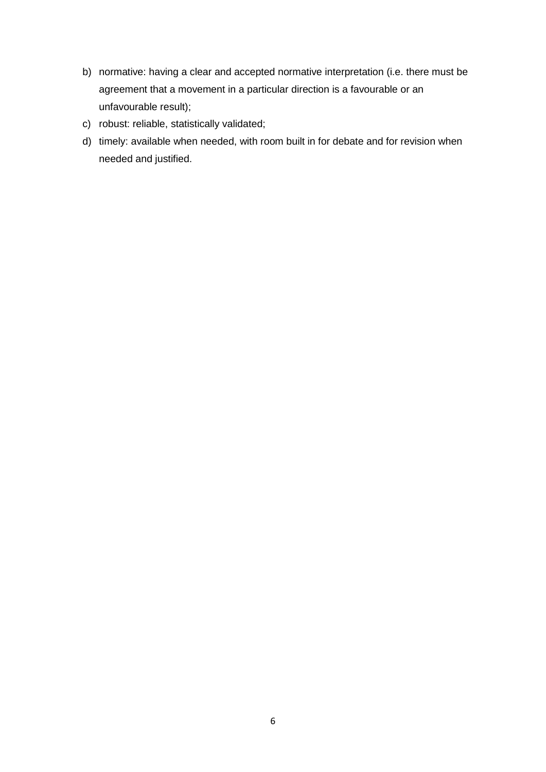- b) normative: having a clear and accepted normative interpretation (i.e. there must be agreement that a movement in a particular direction is a favourable or an unfavourable result);
- c) robust: reliable, statistically validated;
- d) timely: available when needed, with room built in for debate and for revision when needed and justified.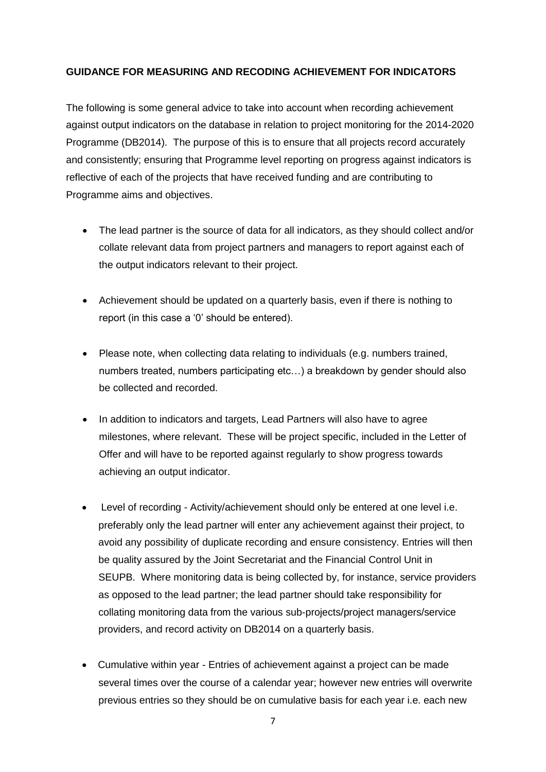#### **GUIDANCE FOR MEASURING AND RECODING ACHIEVEMENT FOR INDICATORS**

The following is some general advice to take into account when recording achievement against output indicators on the database in relation to project monitoring for the 2014-2020 Programme (DB2014). The purpose of this is to ensure that all projects record accurately and consistently; ensuring that Programme level reporting on progress against indicators is reflective of each of the projects that have received funding and are contributing to Programme aims and objectives.

- The lead partner is the source of data for all indicators, as they should collect and/or collate relevant data from project partners and managers to report against each of the output indicators relevant to their project.
- Achievement should be updated on a quarterly basis, even if there is nothing to report (in this case a '0' should be entered).
- Please note, when collecting data relating to individuals (e.g. numbers trained, numbers treated, numbers participating etc…) a breakdown by gender should also be collected and recorded.
- In addition to indicators and targets, Lead Partners will also have to agree milestones, where relevant. These will be project specific, included in the Letter of Offer and will have to be reported against regularly to show progress towards achieving an output indicator.
- Level of recording Activity/achievement should only be entered at one level i.e. preferably only the lead partner will enter any achievement against their project, to avoid any possibility of duplicate recording and ensure consistency. Entries will then be quality assured by the Joint Secretariat and the Financial Control Unit in SEUPB. Where monitoring data is being collected by, for instance, service providers as opposed to the lead partner; the lead partner should take responsibility for collating monitoring data from the various sub-projects/project managers/service providers, and record activity on DB2014 on a quarterly basis.
- Cumulative within year Entries of achievement against a project can be made several times over the course of a calendar year; however new entries will overwrite previous entries so they should be on cumulative basis for each year i.e. each new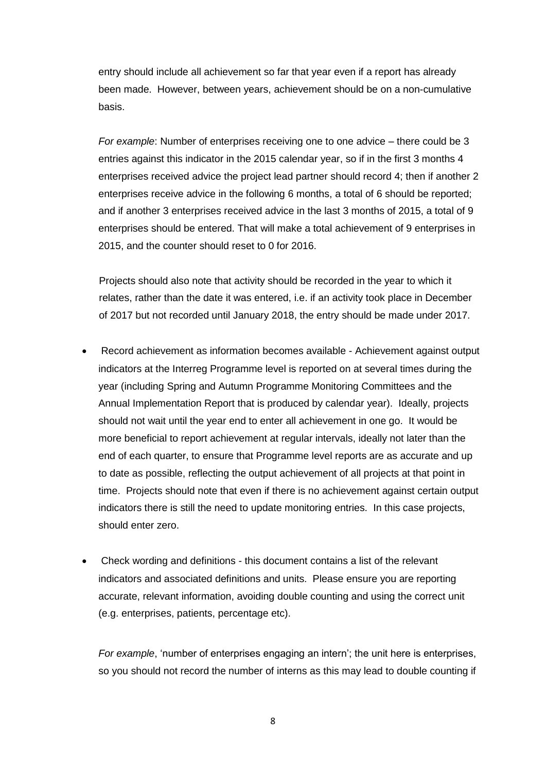entry should include all achievement so far that year even if a report has already been made. However, between years, achievement should be on a non-cumulative basis.

*For example*: Number of enterprises receiving one to one advice – there could be 3 entries against this indicator in the 2015 calendar year, so if in the first 3 months 4 enterprises received advice the project lead partner should record 4; then if another 2 enterprises receive advice in the following 6 months, a total of 6 should be reported; and if another 3 enterprises received advice in the last 3 months of 2015, a total of 9 enterprises should be entered. That will make a total achievement of 9 enterprises in 2015, and the counter should reset to 0 for 2016.

Projects should also note that activity should be recorded in the year to which it relates, rather than the date it was entered, i.e. if an activity took place in December of 2017 but not recorded until January 2018, the entry should be made under 2017.

- Record achievement as information becomes available Achievement against output indicators at the Interreg Programme level is reported on at several times during the year (including Spring and Autumn Programme Monitoring Committees and the Annual Implementation Report that is produced by calendar year). Ideally, projects should not wait until the year end to enter all achievement in one go. It would be more beneficial to report achievement at regular intervals, ideally not later than the end of each quarter, to ensure that Programme level reports are as accurate and up to date as possible, reflecting the output achievement of all projects at that point in time. Projects should note that even if there is no achievement against certain output indicators there is still the need to update monitoring entries. In this case projects, should enter zero.
- Check wording and definitions this document contains a list of the relevant indicators and associated definitions and units. Please ensure you are reporting accurate, relevant information, avoiding double counting and using the correct unit (e.g. enterprises, patients, percentage etc).

*For example*, 'number of enterprises engaging an intern'; the unit here is enterprises, so you should not record the number of interns as this may lead to double counting if

8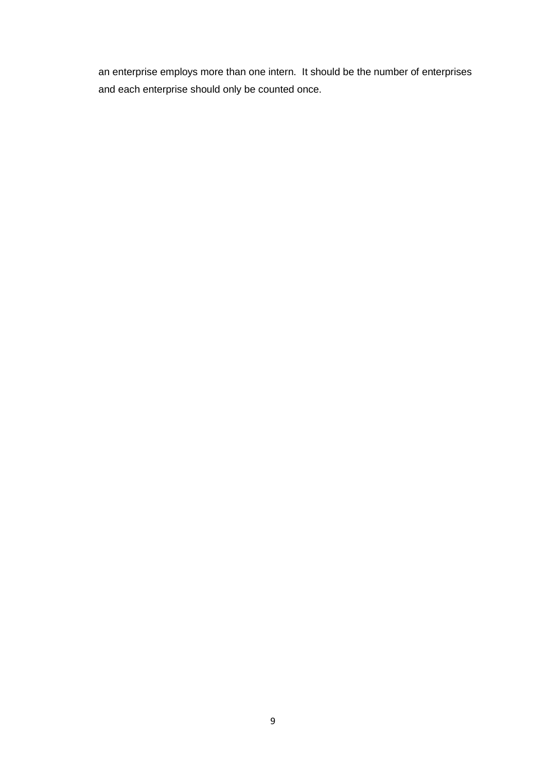an enterprise employs more than one intern. It should be the number of enterprises and each enterprise should only be counted once.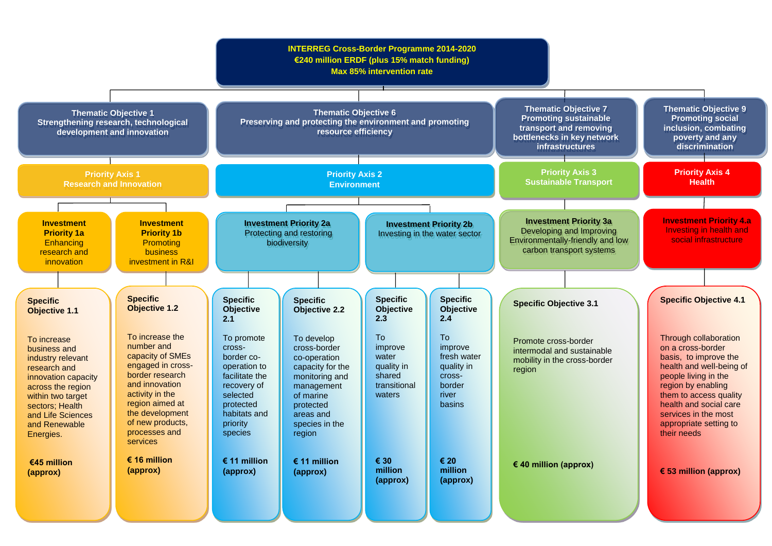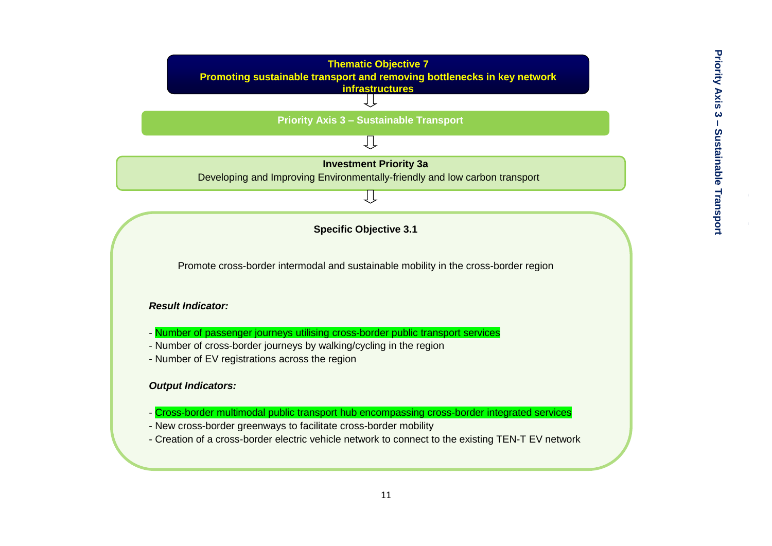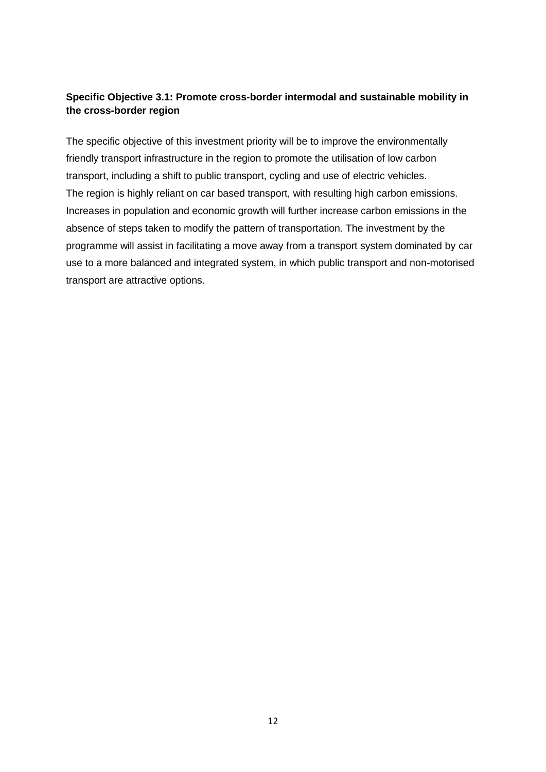### **Specific Objective 3.1: Promote cross-border intermodal and sustainable mobility in the cross-border region**

The specific objective of this investment priority will be to improve the environmentally friendly transport infrastructure in the region to promote the utilisation of low carbon transport, including a shift to public transport, cycling and use of electric vehicles. The region is highly reliant on car based transport, with resulting high carbon emissions. Increases in population and economic growth will further increase carbon emissions in the absence of steps taken to modify the pattern of transportation. The investment by the programme will assist in facilitating a move away from a transport system dominated by car use to a more balanced and integrated system, in which public transport and non-motorised transport are attractive options.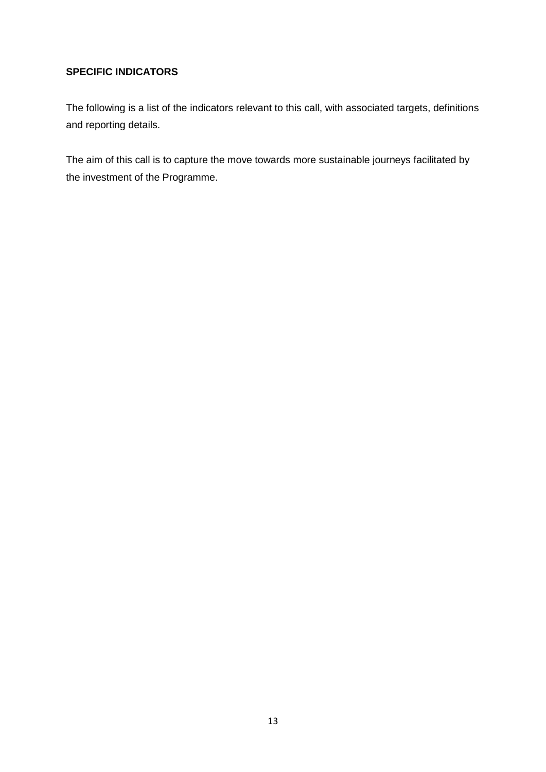### **SPECIFIC INDICATORS**

The following is a list of the indicators relevant to this call, with associated targets, definitions and reporting details.

The aim of this call is to capture the move towards more sustainable journeys facilitated by the investment of the Programme.